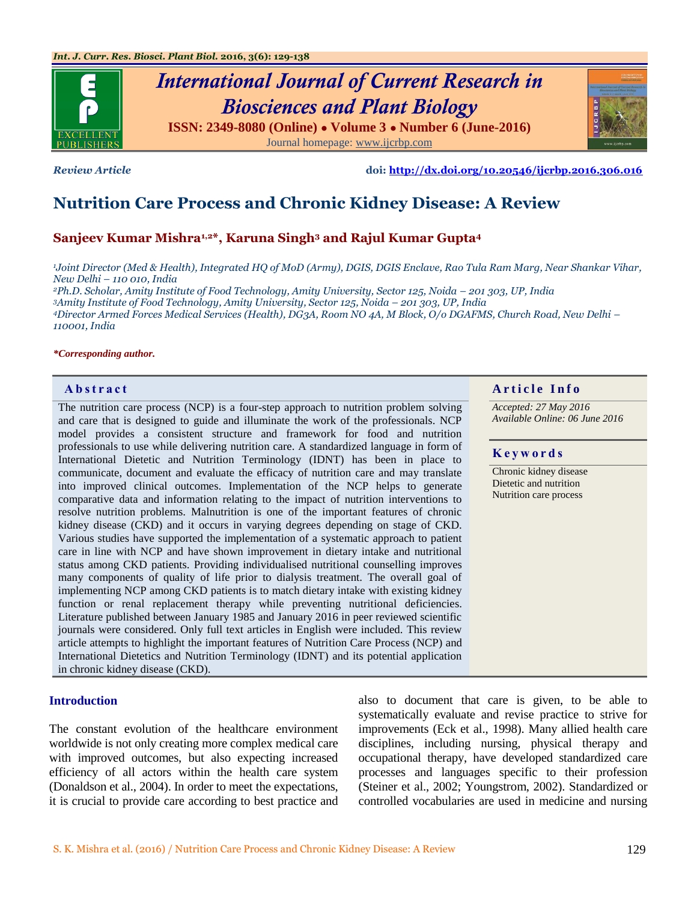





*Review Article* **doi:<http://dx.doi.org/10.20546/ijcrbp.2016.306.016>**

# **Nutrition Care Process and Chronic Kidney Disease: A Review**

### **Sanjeev Kumar Mishra1,2\*, Karuna Singh<sup>3</sup> and Rajul Kumar Gupta<sup>4</sup>**

*<sup>1</sup>Joint Director (Med & Health), Integrated HQ of MoD (Army), DGIS, DGIS Enclave, Rao Tula Ram Marg, Near Shankar Vihar, New Delhi – 110 010, India*

*Ph.D. Scholar, Amity Institute of Food Technology, Amity University, Sector 125, Noida – 201 303, UP, India Amity Institute of Food Technology, Amity University, Sector 125, Noida – 201 303, UP, India Director Armed Forces Medical Services (Health), DG3A, Room NO 4A, M Block, O/o DGAFMS, Church Road, New Delhi – 110001, India*

#### *\*Corresponding author.*

The nutrition care process (NCP) is a four-step approach to nutrition problem solving and care that is designed to guide and illuminate the work of the professionals. NCP model provides a consistent structure and framework for food and nutrition professionals to use while delivering nutrition care. A standardized language in form of International Dietetic and Nutrition Terminology (IDNT) has been in place to communicate, document and evaluate the efficacy of nutrition care and may translate into improved clinical outcomes. Implementation of the NCP helps to generate comparative data and information relating to the impact of nutrition interventions to resolve nutrition problems. Malnutrition is one of the important features of chronic kidney disease (CKD) and it occurs in varying degrees depending on stage of CKD. Various studies have supported the implementation of a systematic approach to patient care in line with NCP and have shown improvement in dietary intake and nutritional status among CKD patients. Providing individualised nutritional counselling improves many components of quality of life prior to dialysis treatment. The overall goal of implementing NCP among CKD patients is to match dietary intake with existing kidney function or renal replacement therapy while preventing nutritional deficiencies. Literature published between January 1985 and January 2016 in peer reviewed scientific journals were considered. Only full text articles in English were included. This review article attempts to highlight the important features of Nutrition Care Process (NCP) and International Dietetics and Nutrition Terminology (IDNT) and its potential application in chronic kidney disease (CKD).

#### **Introduction**

The constant evolution of the healthcare environment worldwide is not only creating more complex medical care with improved outcomes, but also expecting increased efficiency of all actors within the health care system (Donaldson et al., 2004). In order to meet the expectations, it is crucial to provide care according to best practice and also to document that care is given, to be able to systematically evaluate and revise practice to strive for improvements (Eck et al., 1998). Many allied health care disciplines, including nursing, physical therapy and occupational therapy, have developed standardized care processes and languages specific to their profession (Steiner et al., 2002; Youngstrom, 2002). Standardized or controlled vocabularies are used in medicine and nursing



*Accepted: 27 May 2016 Available Online: 06 June 2016*

#### **K e y w o r d s**

Chronic kidney disease Dietetic and nutrition Nutrition care process

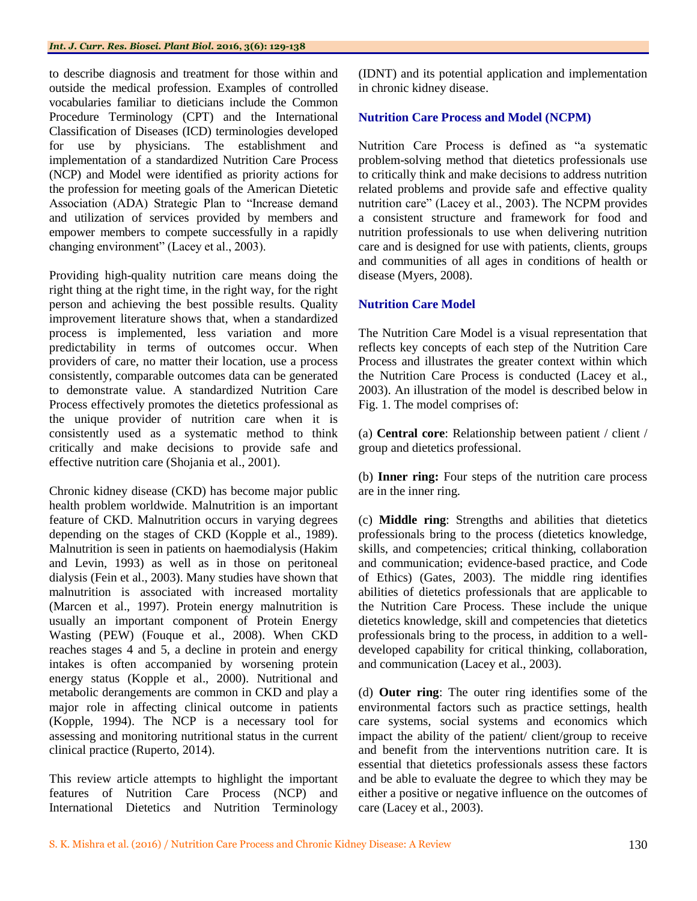to describe diagnosis and treatment for those within and outside the medical profession. Examples of controlled vocabularies familiar to dieticians include the Common Procedure Terminology (CPT) and the International Classification of Diseases (ICD) terminologies developed for use by physicians. The establishment and implementation of a standardized Nutrition Care Process (NCP) and Model were identified as priority actions for the profession for meeting goals of the American Dietetic Association (ADA) Strategic Plan to "Increase demand and utilization of services provided by members and empower members to compete successfully in a rapidly changing environment" (Lacey et al., 2003).

Providing high-quality nutrition care means doing the right thing at the right time, in the right way, for the right person and achieving the best possible results. Quality improvement literature shows that, when a standardized process is implemented, less variation and more predictability in terms of outcomes occur. When providers of care, no matter their location, use a process consistently, comparable outcomes data can be generated to demonstrate value. A standardized Nutrition Care Process effectively promotes the dietetics professional as the unique provider of nutrition care when it is consistently used as a systematic method to think critically and make decisions to provide safe and effective nutrition care (Shojania et al., 2001).

Chronic kidney disease (CKD) has become major public health problem worldwide. Malnutrition is an important feature of CKD. Malnutrition occurs in varying degrees depending on the stages of CKD (Kopple et al., 1989). Malnutrition is seen in patients on haemodialysis (Hakim and Levin, 1993) as well as in those on peritoneal dialysis (Fein et al., 2003). Many studies have shown that malnutrition is associated with increased mortality (Marcen et al., 1997). Protein energy malnutrition is usually an important component of Protein Energy Wasting (PEW) (Fouque et al., 2008). When CKD reaches stages 4 and 5, a decline in protein and energy intakes is often accompanied by worsening protein energy status (Kopple et al., 2000). Nutritional and metabolic derangements are common in CKD and play a major role in affecting clinical outcome in patients (Kopple, 1994). The NCP is a necessary tool for assessing and monitoring nutritional status in the current clinical practice (Ruperto, 2014).

This review article attempts to highlight the important features of Nutrition Care Process (NCP) and International Dietetics and Nutrition Terminology

(IDNT) and its potential application and implementation in chronic kidney disease.

### **Nutrition Care Process and Model (NCPM)**

Nutrition Care Process is defined as "a systematic problem-solving method that dietetics professionals use to critically think and make decisions to address nutrition related problems and provide safe and effective quality nutrition care" (Lacey et al., 2003). The NCPM provides a consistent structure and framework for food and nutrition professionals to use when delivering nutrition care and is designed for use with patients, clients, groups and communities of all ages in conditions of health or disease (Myers, 2008).

### **Nutrition Care Model**

The Nutrition Care Model is a visual representation that reflects key concepts of each step of the Nutrition Care Process and illustrates the greater context within which the Nutrition Care Process is conducted (Lacey et al., 2003). An illustration of the model is described below in Fig. 1. The model comprises of:

(a) **Central core**: Relationship between patient / client / group and dietetics professional.

(b) **Inner ring:** Four steps of the nutrition care process are in the inner ring.

(c) **Middle ring**: Strengths and abilities that dietetics professionals bring to the process (dietetics knowledge, skills, and competencies; critical thinking, collaboration and communication; evidence-based practice, and Code of Ethics) (Gates, 2003). The middle ring identifies abilities of dietetics professionals that are applicable to the Nutrition Care Process. These include the unique dietetics knowledge, skill and competencies that dietetics professionals bring to the process, in addition to a welldeveloped capability for critical thinking, collaboration, and communication (Lacey et al., 2003).

(d) **Outer ring**: The outer ring identifies some of the environmental factors such as practice settings, health care systems, social systems and economics which impact the ability of the patient/ client/group to receive and benefit from the interventions nutrition care. It is essential that dietetics professionals assess these factors and be able to evaluate the degree to which they may be either a positive or negative influence on the outcomes of care (Lacey et al., 2003).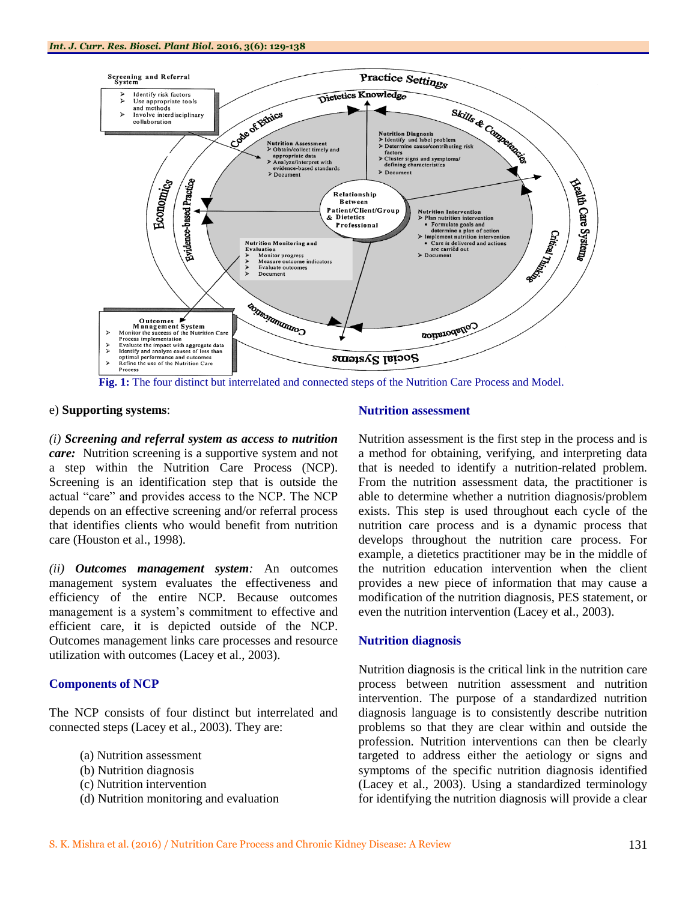

 **Fig. 1:** The four distinct but interrelated and connected steps of the Nutrition Care Process and Model.

#### e) **Supporting systems**:

*(i) Screening and referral system as access to nutrition care:* Nutrition screening is a supportive system and not a step within the Nutrition Care Process (NCP). Screening is an identification step that is outside the actual "care" and provides access to the NCP. The NCP depends on an effective screening and/or referral process that identifies clients who would benefit from nutrition care (Houston et al., 1998).

*(ii) Outcomes management system:* An outcomes management system evaluates the effectiveness and efficiency of the entire NCP. Because outcomes management is a system's commitment to effective and efficient care, it is depicted outside of the NCP. Outcomes management links care processes and resource utilization with outcomes (Lacey et al., 2003).

#### **Components of NCP**

The NCP consists of four distinct but interrelated and connected steps (Lacey et al., 2003). They are:

- (a) Nutrition assessment
- (b) Nutrition diagnosis
- (c) Nutrition intervention
- (d) Nutrition monitoring and evaluation

#### **Nutrition assessment**

Nutrition assessment is the first step in the process and is a method for obtaining, verifying, and interpreting data that is needed to identify a nutrition-related problem. From the nutrition assessment data, the practitioner is able to determine whether a nutrition diagnosis/problem exists. This step is used throughout each cycle of the nutrition care process and is a dynamic process that develops throughout the nutrition care process. For example, a dietetics practitioner may be in the middle of the nutrition education intervention when the client provides a new piece of information that may cause a modification of the nutrition diagnosis, PES statement, or even the nutrition intervention (Lacey et al., 2003).

#### **Nutrition diagnosis**

Nutrition diagnosis is the critical link in the nutrition care process between nutrition assessment and nutrition intervention. The purpose of a standardized nutrition diagnosis language is to consistently describe nutrition problems so that they are clear within and outside the profession. Nutrition interventions can then be clearly targeted to address either the aetiology or signs and symptoms of the specific nutrition diagnosis identified (Lacey et al., 2003). Using a standardized terminology for identifying the nutrition diagnosis will provide a clear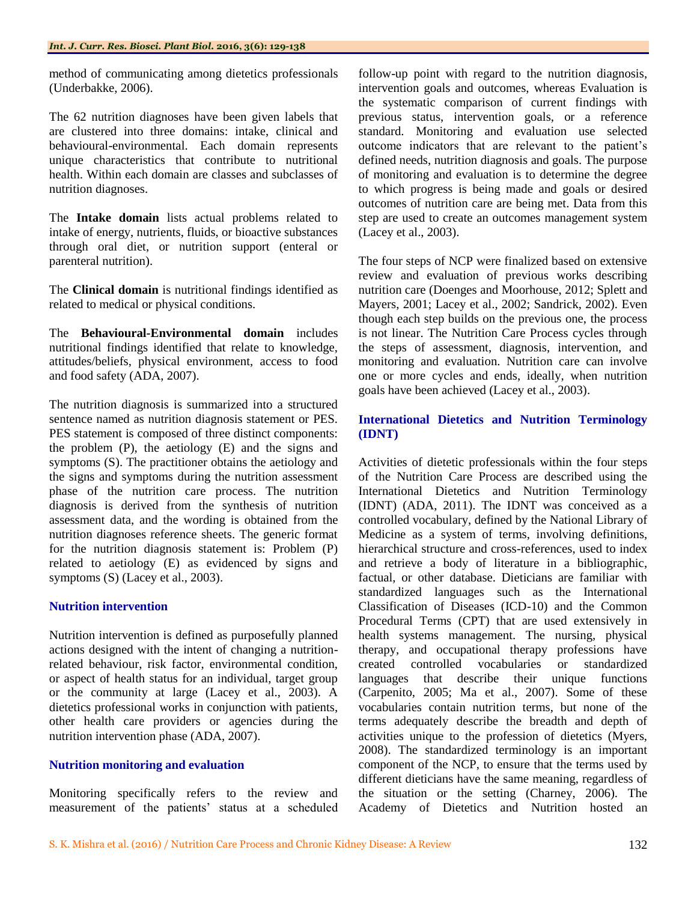method of communicating among dietetics professionals (Underbakke, 2006).

The 62 nutrition diagnoses have been given labels that are clustered into three domains: intake, clinical and behavioural-environmental. Each domain represents unique characteristics that contribute to nutritional health. Within each domain are classes and subclasses of nutrition diagnoses.

The **Intake domain** lists actual problems related to intake of energy, nutrients, fluids, or bioactive substances through oral diet, or nutrition support (enteral or parenteral nutrition).

The **Clinical domain** is nutritional findings identified as related to medical or physical conditions.

The **Behavioural-Environmental domain** includes nutritional findings identified that relate to knowledge, attitudes/beliefs, physical environment, access to food and food safety (ADA, 2007).

The nutrition diagnosis is summarized into a structured sentence named as nutrition diagnosis statement or PES. PES statement is composed of three distinct components: the problem (P), the aetiology (E) and the signs and symptoms (S). The practitioner obtains the aetiology and the signs and symptoms during the nutrition assessment phase of the nutrition care process. The nutrition diagnosis is derived from the synthesis of nutrition assessment data, and the wording is obtained from the nutrition diagnoses reference sheets. The generic format for the nutrition diagnosis statement is: Problem (P) related to aetiology (E) as evidenced by signs and symptoms (S) (Lacey et al., 2003).

#### **Nutrition intervention**

Nutrition intervention is defined as purposefully planned actions designed with the intent of changing a nutritionrelated behaviour, risk factor, environmental condition, or aspect of health status for an individual, target group or the community at large (Lacey et al., 2003). A dietetics professional works in conjunction with patients, other health care providers or agencies during the nutrition intervention phase (ADA, 2007).

#### **Nutrition monitoring and evaluation**

Monitoring specifically refers to the review and measurement of the patients' status at a scheduled follow-up point with regard to the nutrition diagnosis, intervention goals and outcomes, whereas Evaluation is the systematic comparison of current findings with previous status, intervention goals, or a reference standard. Monitoring and evaluation use selected outcome indicators that are relevant to the patient's defined needs, nutrition diagnosis and goals. The purpose of monitoring and evaluation is to determine the degree to which progress is being made and goals or desired outcomes of nutrition care are being met. Data from this step are used to create an outcomes management system (Lacey et al., 2003).

The four steps of NCP were finalized based on extensive review and evaluation of previous works describing nutrition care (Doenges and Moorhouse, 2012; Splett and Mayers, 2001; Lacey et al., 2002; Sandrick, 2002). Even though each step builds on the previous one, the process is not linear. The Nutrition Care Process cycles through the steps of assessment, diagnosis, intervention, and monitoring and evaluation. Nutrition care can involve one or more cycles and ends, ideally, when nutrition goals have been achieved (Lacey et al., 2003).

#### **International Dietetics and Nutrition Terminology (IDNT)**

Activities of dietetic professionals within the four steps of the Nutrition Care Process are described using the International Dietetics and Nutrition Terminology (IDNT) (ADA, 2011). The IDNT was conceived as a controlled vocabulary, defined by the National Library of Medicine as a system of terms, involving definitions, hierarchical structure and cross-references, used to index and retrieve a body of literature in a bibliographic, factual, or other database. Dieticians are familiar with standardized languages such as the International Classification of Diseases (ICD-10) and the Common Procedural Terms (CPT) that are used extensively in health systems management. The nursing, physical therapy, and occupational therapy professions have created controlled vocabularies or standardized languages that describe their unique functions (Carpenito, 2005; Ma et al., 2007). Some of these vocabularies contain nutrition terms, but none of the terms adequately describe the breadth and depth of activities unique to the profession of dietetics (Myers, 2008). The standardized terminology is an important component of the NCP, to ensure that the terms used by different dieticians have the same meaning, regardless of the situation or the setting (Charney, 2006). The Academy of Dietetics and Nutrition hosted an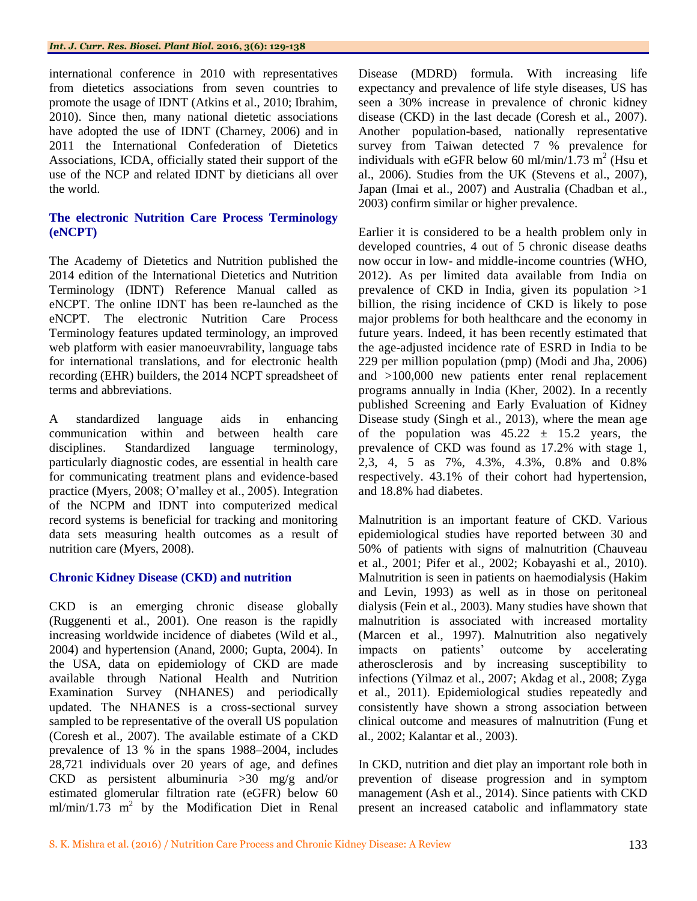international conference in 2010 with representatives from dietetics associations from seven countries to promote the usage of IDNT (Atkins et al., 2010; Ibrahim, 2010). Since then, many national dietetic associations have adopted the use of IDNT (Charney, 2006) and in 2011 the International Confederation of Dietetics Associations, ICDA, officially stated their support of the use of the NCP and related IDNT by dieticians all over the world.

### **The electronic Nutrition Care Process Terminology (eNCPT)**

The Academy of Dietetics and Nutrition published the 2014 edition of the International Dietetics and Nutrition Terminology (IDNT) Reference Manual called as eNCPT. The online IDNT has been re-launched as the eNCPT. The electronic Nutrition Care Process Terminology features updated terminology, an improved web platform with easier manoeuvrability, language tabs for international translations, and for electronic health recording (EHR) builders, the 2014 NCPT spreadsheet of terms and abbreviations.

A standardized language aids in enhancing communication within and between health care disciplines. Standardized language terminology, particularly diagnostic codes, are essential in health care for communicating treatment plans and evidence-based practice (Myers, 2008; O'malley et al., 2005). Integration of the NCPM and IDNT into computerized medical record systems is beneficial for tracking and monitoring data sets measuring health outcomes as a result of nutrition care (Myers, 2008).

#### **Chronic Kidney Disease (CKD) and nutrition**

CKD is an emerging chronic disease globally (Ruggenenti et al., 2001). One reason is the rapidly increasing worldwide incidence of diabetes (Wild et al., 2004) and hypertension (Anand, 2000; Gupta, 2004). In the USA, data on epidemiology of CKD are made available through National Health and Nutrition Examination Survey (NHANES) and periodically updated. The NHANES is a cross-sectional survey sampled to be representative of the overall US population (Coresh et al., 2007). The available estimate of a CKD prevalence of 13 % in the spans 1988–2004, includes 28,721 individuals over 20 years of age, and defines CKD as persistent albuminuria >30 mg/g and/or estimated glomerular filtration rate (eGFR) below 60  $ml/min/1.73$  m<sup>2</sup> by the Modification Diet in Renal Disease (MDRD) formula. With increasing life expectancy and prevalence of life style diseases, US has seen a 30% increase in prevalence of chronic kidney disease (CKD) in the last decade (Coresh et al., 2007). Another population-based, nationally representative survey from Taiwan detected 7 % prevalence for individuals with eGFR below 60 ml/min/ $1.73$  m<sup>2</sup> (Hsu et al., 2006). Studies from the UK (Stevens et al., 2007), Japan (Imai et al., 2007) and Australia (Chadban et al., 2003) confirm similar or higher prevalence.

Earlier it is considered to be a health problem only in developed countries, 4 out of 5 chronic disease deaths now occur in low- and middle-income countries (WHO, 2012). As per limited data available from India on prevalence of CKD in India, given its population >1 billion, the rising incidence of CKD is likely to pose major problems for both healthcare and the economy in future years. Indeed, it has been recently estimated that the age-adjusted incidence rate of ESRD in India to be 229 per million population (pmp) (Modi and Jha, 2006) and >100,000 new patients enter renal replacement programs annually in India (Kher, 2002). In a recently published Screening and Early Evaluation of Kidney Disease study (Singh et al., 2013), where the mean age of the population was  $45.22 \pm 15.2$  years, the prevalence of CKD was found as 17.2% with stage 1, 2,3, 4, 5 as 7%, 4.3%, 4.3%, 0.8% and 0.8% respectively. 43.1% of their cohort had hypertension, and 18.8% had diabetes.

Malnutrition is an important feature of CKD. Various epidemiological studies have reported between 30 and 50% of patients with signs of malnutrition (Chauveau et al., 2001; Pifer et al., 2002; Kobayashi et al., 2010). Malnutrition is seen in patients on haemodialysis (Hakim and Levin, 1993) as well as in those on peritoneal dialysis (Fein et al., 2003). Many studies have shown that malnutrition is associated with increased mortality (Marcen et al., 1997). Malnutrition also negatively impacts on patients' outcome by accelerating atherosclerosis and by increasing susceptibility to infections (Yilmaz et al., 2007; Akdag et al., 2008; Zyga et al., 2011). Epidemiological studies repeatedly and consistently have shown a strong association between clinical outcome and measures of malnutrition (Fung et al., 2002; Kalantar et al., 2003).

In CKD, nutrition and diet play an important role both in prevention of disease progression and in symptom management (Ash et al., 2014). Since patients with CKD present an increased catabolic and inflammatory state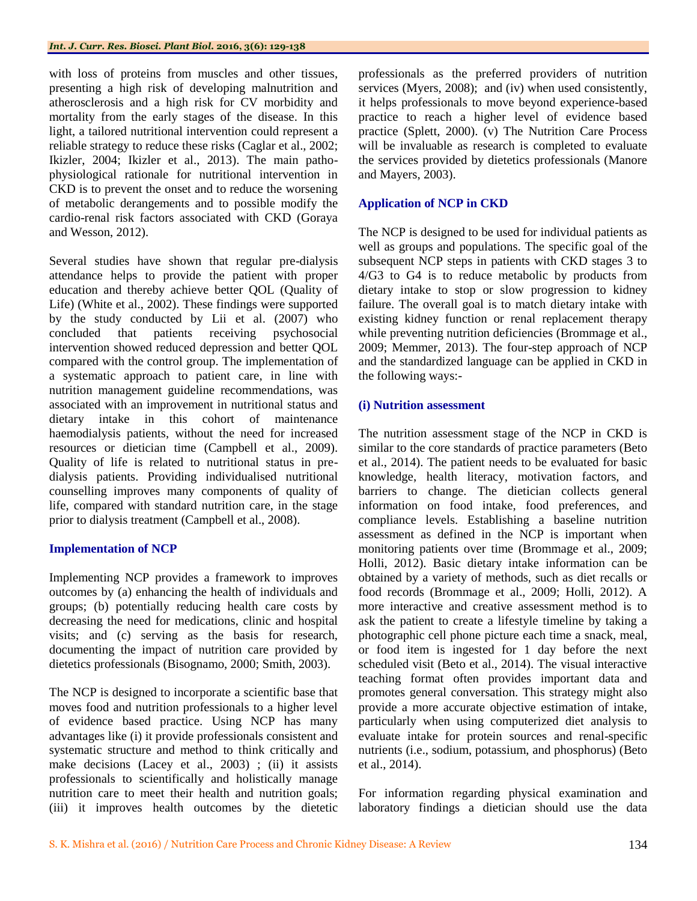with loss of proteins from muscles and other tissues, presenting a high risk of developing malnutrition and atherosclerosis and a high risk for CV morbidity and mortality from the early stages of the disease. In this light, a tailored nutritional intervention could represent a reliable strategy to reduce these risks (Caglar et al., 2002; Ikizler, 2004; Ikizler et al., 2013). The main pathophysiological rationale for nutritional intervention in CKD is to prevent the onset and to reduce the worsening of metabolic derangements and to possible modify the cardio-renal risk factors associated with CKD (Goraya and Wesson, 2012).

Several studies have shown that regular pre-dialysis attendance helps to provide the patient with proper education and thereby achieve better QOL (Quality of Life) (White et al., 2002). These findings were supported by the study conducted by Lii et al. (2007) who concluded that patients receiving psychosocial intervention showed reduced depression and better QOL compared with the control group. The implementation of a systematic approach to patient care, in line with nutrition management guideline recommendations, was associated with an improvement in nutritional status and dietary intake in this cohort of maintenance haemodialysis patients, without the need for increased resources or dietician time (Campbell et al., 2009). Quality of life is related to nutritional status in predialysis patients. Providing individualised nutritional counselling improves many components of quality of life, compared with standard nutrition care, in the stage prior to dialysis treatment (Campbell et al., 2008).

#### **Implementation of NCP**

Implementing NCP provides a framework to improves outcomes by (a) enhancing the health of individuals and groups; (b) potentially reducing health care costs by decreasing the need for medications, clinic and hospital visits; and (c) serving as the basis for research, documenting the impact of nutrition care provided by dietetics professionals (Bisognamo, 2000; Smith, 2003).

The NCP is designed to incorporate a scientific base that moves food and nutrition professionals to a higher level of evidence based practice. Using NCP has many advantages like (i) it provide professionals consistent and systematic structure and method to think critically and make decisions (Lacey et al., 2003) ; (ii) it assists professionals to scientifically and holistically manage nutrition care to meet their health and nutrition goals; (iii) it improves health outcomes by the dietetic

professionals as the preferred providers of nutrition services (Myers, 2008); and (iv) when used consistently, it helps professionals to move beyond experience-based practice to reach a higher level of evidence based practice (Splett, 2000). (v) The Nutrition Care Process will be invaluable as research is completed to evaluate the services provided by dietetics professionals (Manore and Mayers, 2003).

## **Application of NCP in CKD**

The NCP is designed to be used for individual patients as well as groups and populations. The specific goal of the subsequent NCP steps in patients with CKD stages 3 to 4/G3 to G4 is to reduce metabolic by products from dietary intake to stop or slow progression to kidney failure. The overall goal is to match dietary intake with existing kidney function or renal replacement therapy while preventing nutrition deficiencies (Brommage et al., 2009; Memmer, 2013). The four-step approach of NCP and the standardized language can be applied in CKD in the following ways:-

#### **(i) Nutrition assessment**

The nutrition assessment stage of the NCP in CKD is similar to the core standards of practice parameters (Beto et al., 2014). The patient needs to be evaluated for basic knowledge, health literacy, motivation factors, and barriers to change. The dietician collects general information on food intake, food preferences, and compliance levels. Establishing a baseline nutrition assessment as defined in the NCP is important when monitoring patients over time (Brommage et al., 2009; Holli, 2012). Basic dietary intake information can be obtained by a variety of methods, such as diet recalls or food records (Brommage et al., 2009; Holli, 2012). A more interactive and creative assessment method is to ask the patient to create a lifestyle timeline by taking a photographic cell phone picture each time a snack, meal, or food item is ingested for 1 day before the next scheduled visit (Beto et al., 2014). The visual interactive teaching format often provides important data and promotes general conversation. This strategy might also provide a more accurate objective estimation of intake, particularly when using computerized diet analysis to evaluate intake for protein sources and renal-specific nutrients (i.e., sodium, potassium, and phosphorus) (Beto et al., 2014).

For information regarding physical examination and laboratory findings a dietician should use the data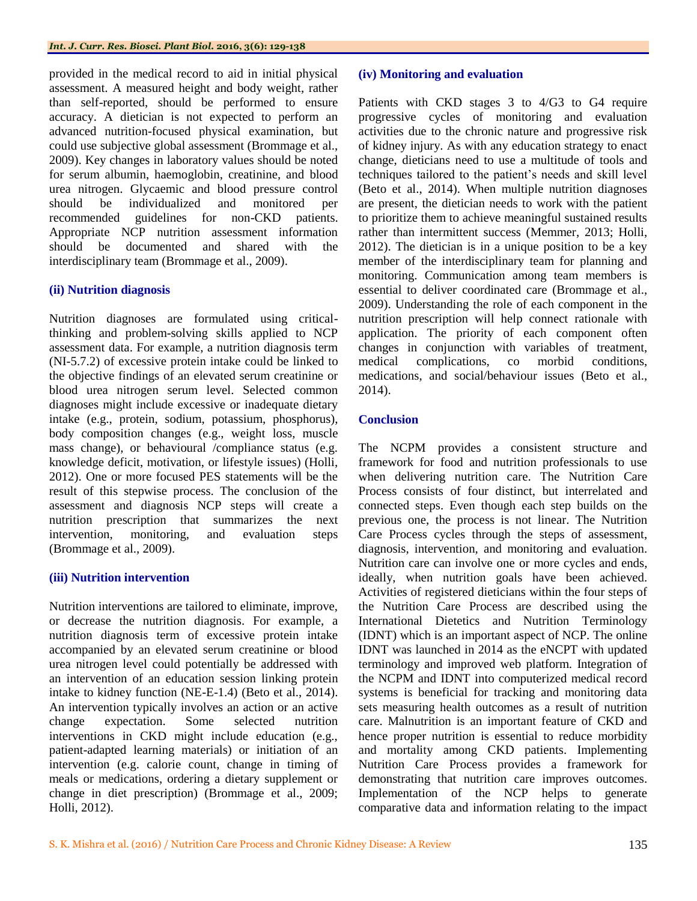provided in the medical record to aid in initial physical assessment. A measured height and body weight, rather than self-reported, should be performed to ensure accuracy. A dietician is not expected to perform an advanced nutrition-focused physical examination, but could use subjective global assessment (Brommage et al., 2009). Key changes in laboratory values should be noted for serum albumin, haemoglobin, creatinine, and blood urea nitrogen. Glycaemic and blood pressure control should be individualized and monitored per recommended guidelines for non-CKD patients. Appropriate NCP nutrition assessment information should be documented and shared with the interdisciplinary team (Brommage et al., 2009).

### **(ii) Nutrition diagnosis**

Nutrition diagnoses are formulated using criticalthinking and problem-solving skills applied to NCP assessment data. For example, a nutrition diagnosis term (NI-5.7.2) of excessive protein intake could be linked to the objective findings of an elevated serum creatinine or blood urea nitrogen serum level. Selected common diagnoses might include excessive or inadequate dietary intake (e.g., protein, sodium, potassium, phosphorus), body composition changes (e.g., weight loss, muscle mass change), or behavioural /compliance status (e.g. knowledge deficit, motivation, or lifestyle issues) (Holli, 2012). One or more focused PES statements will be the result of this stepwise process. The conclusion of the assessment and diagnosis NCP steps will create a nutrition prescription that summarizes the next intervention, monitoring, and evaluation steps (Brommage et al., 2009).

## **(iii) Nutrition intervention**

Nutrition interventions are tailored to eliminate, improve, or decrease the nutrition diagnosis. For example, a nutrition diagnosis term of excessive protein intake accompanied by an elevated serum creatinine or blood urea nitrogen level could potentially be addressed with an intervention of an education session linking protein intake to kidney function (NE-E-1.4) (Beto et al., 2014). An intervention typically involves an action or an active change expectation. Some selected nutrition interventions in CKD might include education (e.g., patient-adapted learning materials) or initiation of an intervention (e.g. calorie count, change in timing of meals or medications, ordering a dietary supplement or change in diet prescription) (Brommage et al., 2009; Holli, 2012).

#### **(iv) Monitoring and evaluation**

Patients with CKD stages 3 to 4/G3 to G4 require progressive cycles of monitoring and evaluation activities due to the chronic nature and progressive risk of kidney injury. As with any education strategy to enact change, dieticians need to use a multitude of tools and techniques tailored to the patient's needs and skill level (Beto et al., 2014). When multiple nutrition diagnoses are present, the dietician needs to work with the patient to prioritize them to achieve meaningful sustained results rather than intermittent success (Memmer, 2013; Holli, 2012). The dietician is in a unique position to be a key member of the interdisciplinary team for planning and monitoring. Communication among team members is essential to deliver coordinated care (Brommage et al., 2009). Understanding the role of each component in the nutrition prescription will help connect rationale with application. The priority of each component often changes in conjunction with variables of treatment, medical complications, co morbid conditions, medications, and social/behaviour issues (Beto et al., 2014).

## **Conclusion**

The NCPM provides a consistent structure and framework for food and nutrition professionals to use when delivering nutrition care. The Nutrition Care Process consists of four distinct, but interrelated and connected steps. Even though each step builds on the previous one, the process is not linear. The Nutrition Care Process cycles through the steps of assessment, diagnosis, intervention, and monitoring and evaluation. Nutrition care can involve one or more cycles and ends, ideally, when nutrition goals have been achieved. Activities of registered dieticians within the four steps of the Nutrition Care Process are described using the International Dietetics and Nutrition Terminology (IDNT) which is an important aspect of NCP. The online IDNT was launched in 2014 as the eNCPT with updated terminology and improved web platform. Integration of the NCPM and IDNT into computerized medical record systems is beneficial for tracking and monitoring data sets measuring health outcomes as a result of nutrition care. Malnutrition is an important feature of CKD and hence proper nutrition is essential to reduce morbidity and mortality among CKD patients. Implementing Nutrition Care Process provides a framework for demonstrating that nutrition care improves outcomes. Implementation of the NCP helps to generate comparative data and information relating to the impact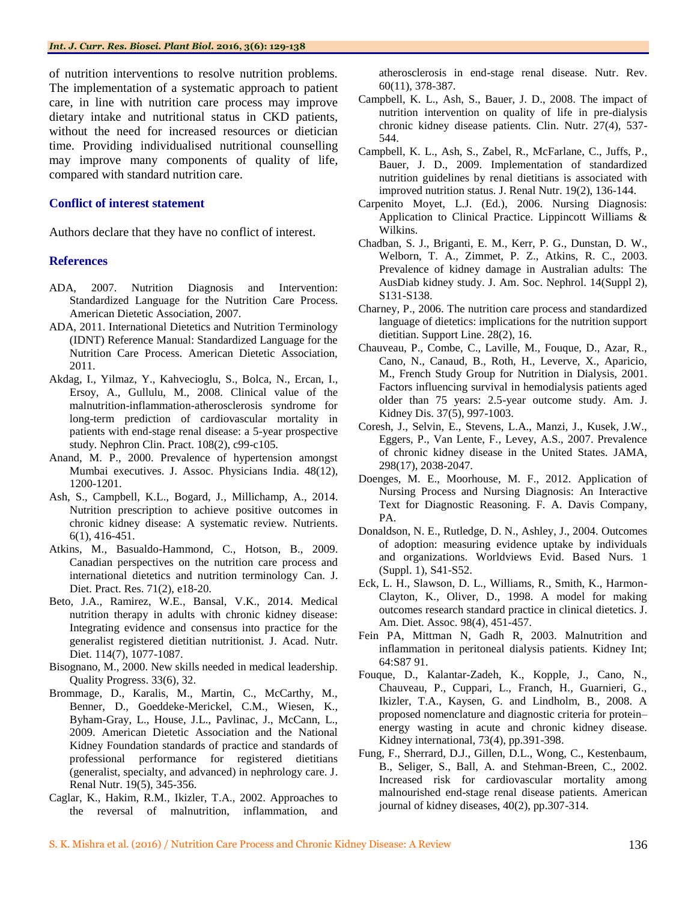of nutrition interventions to resolve nutrition problems. The implementation of a systematic approach to patient care, in line with nutrition care process may improve dietary intake and nutritional status in CKD patients, without the need for increased resources or dietician time. Providing individualised nutritional counselling may improve many components of quality of life, compared with standard nutrition care.

#### **Conflict of interest statement**

Authors declare that they have no conflict of interest.

#### **References**

- ADA, 2007. Nutrition Diagnosis and Intervention: Standardized Language for the Nutrition Care Process. American Dietetic Association, 2007.
- ADA, 2011. International Dietetics and Nutrition Terminology (IDNT) Reference Manual: Standardized Language for the Nutrition Care Process. American Dietetic Association, 2011.
- Akdag, I., Yilmaz, Y., Kahvecioglu, S., Bolca, N., Ercan, I., Ersoy, A., Gullulu, M., 2008. Clinical value of the malnutrition-inflammation-atherosclerosis syndrome for long-term prediction of cardiovascular mortality in patients with end-stage renal disease: a 5-year prospective study. Nephron Clin. Pract. 108(2), c99-c105.
- Anand, M. P., 2000. Prevalence of hypertension amongst Mumbai executives. J. Assoc. Physicians India. 48(12), 1200-1201.
- Ash, S., Campbell, K.L., Bogard, J., Millichamp, A., 2014. Nutrition prescription to achieve positive outcomes in chronic kidney disease: A systematic review. Nutrients. 6(1), 416-451.
- Atkins, M., Basualdo-Hammond, C., Hotson, B., 2009. Canadian perspectives on the nutrition care process and international dietetics and nutrition terminology Can. J. Diet. Pract. Res. 71(2), e18-20.
- Beto, J.A., Ramirez, W.E., Bansal, V.K., 2014. Medical nutrition therapy in adults with chronic kidney disease: Integrating evidence and consensus into practice for the generalist registered dietitian nutritionist. J. Acad. Nutr. Diet. 114(7), 1077-1087.
- Bisognano, M., 2000. New skills needed in medical leadership. Quality Progress. 33(6), 32.
- Brommage, D., Karalis, M., Martin, C., McCarthy, M., Benner, D., Goeddeke-Merickel, C.M., Wiesen, K., Byham-Gray, L., House, J.L., Pavlinac, J., McCann, L., 2009. American Dietetic Association and the National Kidney Foundation standards of practice and standards of professional performance for registered dietitians (generalist, specialty, and advanced) in nephrology care. J. Renal Nutr. 19(5), 345-356.
- Caglar, K., Hakim, R.M., Ikizler, T.A., 2002. Approaches to the reversal of malnutrition, inflammation, and

atherosclerosis in end-stage renal disease. Nutr. Rev. 60(11), 378-387.

- Campbell, K. L., Ash, S., Bauer, J. D., 2008. The impact of nutrition intervention on quality of life in pre-dialysis chronic kidney disease patients. Clin. Nutr. 27(4), 537- 544.
- Campbell, K. L., Ash, S., Zabel, R., McFarlane, C., Juffs, P., Bauer, J. D., 2009. Implementation of standardized nutrition guidelines by renal dietitians is associated with improved nutrition status. J. Renal Nutr. 19(2), 136-144.
- Carpenito Moyet, L.J. (Ed.), 2006. Nursing Diagnosis: Application to Clinical Practice. Lippincott Williams & Wilkins.
- Chadban, S. J., Briganti, E. M., Kerr, P. G., Dunstan, D. W., Welborn, T. A., Zimmet, P. Z., Atkins, R. C., 2003. Prevalence of kidney damage in Australian adults: The AusDiab kidney study. J. Am. Soc. Nephrol. 14(Suppl 2), S131-S138.
- Charney, P., 2006. The nutrition care process and standardized language of dietetics: implications for the nutrition support dietitian. Support Line. 28(2), 16.
- Chauveau, P., Combe, C., Laville, M., Fouque, D., Azar, R., Cano, N., Canaud, B., Roth, H., Leverve, X., Aparicio, M., French Study Group for Nutrition in Dialysis, 2001. Factors influencing survival in hemodialysis patients aged older than 75 years: 2.5-year outcome study. Am. J. Kidney Dis. 37(5), 997-1003.
- Coresh, J., Selvin, E., Stevens, L.A., Manzi, J., Kusek, J.W., Eggers, P., Van Lente, F., Levey, A.S., 2007. Prevalence of chronic kidney disease in the United States. JAMA, 298(17), 2038-2047.
- Doenges, M. E., Moorhouse, M. F., 2012. Application of Nursing Process and Nursing Diagnosis: An Interactive Text for Diagnostic Reasoning. F. A. Davis Company, PA.
- Donaldson, N. E., Rutledge, D. N., Ashley, J., 2004. Outcomes of adoption: measuring evidence uptake by individuals and organizations. Worldviews Evid. Based Nurs. 1 (Suppl. 1), S41-S52.
- Eck, L. H., Slawson, D. L., Williams, R., Smith, K., Harmon-Clayton, K., Oliver, D., 1998. A model for making outcomes research standard practice in clinical dietetics. J. Am. Diet. Assoc. 98(4), 451-457.
- Fein PA, Mittman N, Gadh R, 2003. Malnutrition and inflammation in peritoneal dialysis patients. Kidney Int; 64:S87 91.
- Fouque, D., Kalantar-Zadeh, K., Kopple, J., Cano, N., Chauveau, P., Cuppari, L., Franch, H., Guarnieri, G., Ikizler, T.A., Kaysen, G. and Lindholm, B., 2008. A proposed nomenclature and diagnostic criteria for protein– energy wasting in acute and chronic kidney disease. Kidney international, 73(4), pp.391-398.
- Fung, F., Sherrard, D.J., Gillen, D.L., Wong, C., Kestenbaum, B., Seliger, S., Ball, A. and Stehman-Breen, C., 2002. Increased risk for cardiovascular mortality among malnourished end-stage renal disease patients. American journal of kidney diseases, 40(2), pp.307-314.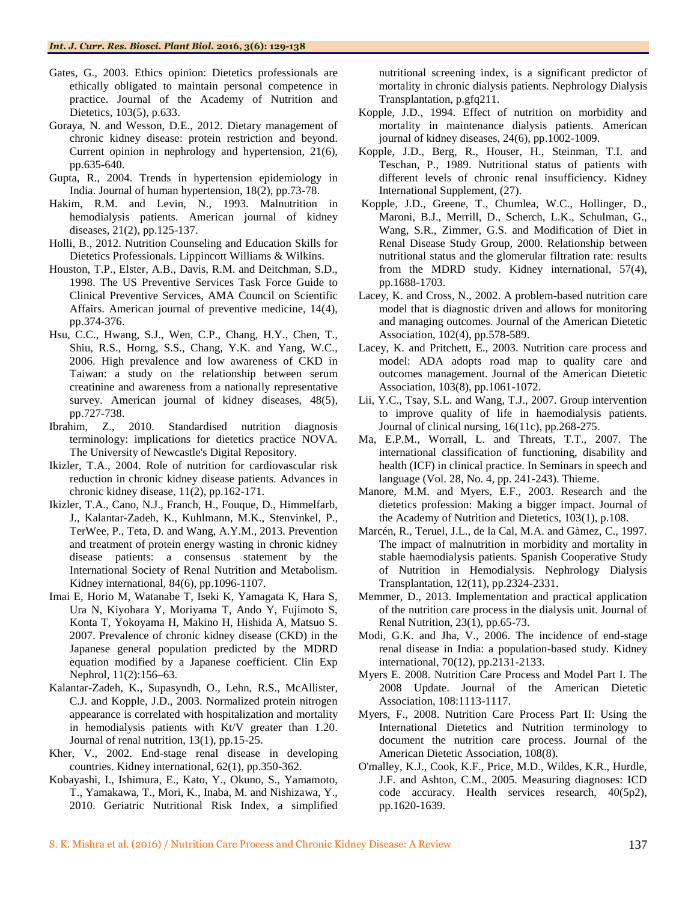- Gates, G., 2003. Ethics opinion: Dietetics professionals are ethically obligated to maintain personal competence in practice. Journal of the Academy of Nutrition and Dietetics, 103(5), p.633.
- Goraya, N. and Wesson, D.E., 2012. Dietary management of chronic kidney disease: protein restriction and beyond. Current opinion in nephrology and hypertension, 21(6), pp.635-640.
- Gupta, R., 2004. Trends in hypertension epidemiology in India. Journal of human hypertension, 18(2), pp.73-78.
- Hakim, R.M. and Levin, N., 1993. Malnutrition in hemodialysis patients. American journal of kidney diseases, 21(2), pp.125-137.
- Holli, B., 2012. Nutrition Counseling and Education Skills for Dietetics Professionals. Lippincott Williams & Wilkins.
- Houston, T.P., Elster, A.B., Davis, R.M. and Deitchman, S.D., 1998. The US Preventive Services Task Force Guide to Clinical Preventive Services, AMA Council on Scientific Affairs. American journal of preventive medicine, 14(4), pp.374-376.
- Hsu, C.C., Hwang, S.J., Wen, C.P., Chang, H.Y., Chen, T., Shiu, R.S., Horng, S.S., Chang, Y.K. and Yang, W.C., 2006. High prevalence and low awareness of CKD in Taiwan: a study on the relationship between serum creatinine and awareness from a nationally representative survey. American journal of kidney diseases, 48(5), pp.727-738.
- Ibrahim, Z., 2010. Standardised nutrition diagnosis terminology: implications for dietetics practice NOVA. The University of Newcastle's Digital Repository.
- Ikizler, T.A., 2004. Role of nutrition for cardiovascular risk reduction in chronic kidney disease patients. Advances in chronic kidney disease, 11(2), pp.162-171.
- Ikizler, T.A., Cano, N.J., Franch, H., Fouque, D., Himmelfarb, J., Kalantar-Zadeh, K., Kuhlmann, M.K., Stenvinkel, P., TerWee, P., Teta, D. and Wang, A.Y.M., 2013. Prevention and treatment of protein energy wasting in chronic kidney disease patients: a consensus statement by the International Society of Renal Nutrition and Metabolism. Kidney international, 84(6), pp.1096-1107.
- Imai E, Horio M, Watanabe T, Iseki K, Yamagata K, Hara S, Ura N, Kiyohara Y, Moriyama T, Ando Y, Fujimoto S, Konta T, Yokoyama H, Makino H, Hishida A, Matsuo S. 2007. Prevalence of chronic kidney disease (CKD) in the Japanese general population predicted by the MDRD equation modified by a Japanese coefficient. Clin Exp Nephrol, 11(2):156–63.
- Kalantar-Zadeh, K., Supasyndh, O., Lehn, R.S., McAllister, C.J. and Kopple, J.D., 2003. Normalized protein nitrogen appearance is correlated with hospitalization and mortality in hemodialysis patients with Kt/V greater than 1.20. Journal of renal nutrition, 13(1), pp.15-25.
- Kher, V., 2002. End-stage renal disease in developing countries. Kidney international, 62(1), pp.350-362.
- Kobayashi, I., Ishimura, E., Kato, Y., Okuno, S., Yamamoto, T., Yamakawa, T., Mori, K., Inaba, M. and Nishizawa, Y., 2010. Geriatric Nutritional Risk Index, a simplified

nutritional screening index, is a significant predictor of mortality in chronic dialysis patients. Nephrology Dialysis Transplantation, p.gfq211.

- Kopple, J.D., 1994. Effect of nutrition on morbidity and mortality in maintenance dialysis patients. American journal of kidney diseases, 24(6), pp.1002-1009.
- Kopple, J.D., Berg, R., Houser, H., Steinman, T.I. and Teschan, P., 1989. Nutritional status of patients with different levels of chronic renal insufficiency. Kidney International Supplement, (27).
- Kopple, J.D., Greene, T., Chumlea, W.C., Hollinger, D., Maroni, B.J., Merrill, D., Scherch, L.K., Schulman, G., Wang, S.R., Zimmer, G.S. and Modification of Diet in Renal Disease Study Group, 2000. Relationship between nutritional status and the glomerular filtration rate: results from the MDRD study. Kidney international, 57(4), pp.1688-1703.
- Lacey, K. and Cross, N., 2002. A problem-based nutrition care model that is diagnostic driven and allows for monitoring and managing outcomes. Journal of the American Dietetic Association, 102(4), pp.578-589.
- Lacey, K. and Pritchett, E., 2003. Nutrition care process and model: ADA adopts road map to quality care and outcomes management. Journal of the American Dietetic Association, 103(8), pp.1061-1072.
- Lii, Y.C., Tsay, S.L. and Wang, T.J., 2007. Group intervention to improve quality of life in haemodialysis patients. Journal of clinical nursing, 16(11c), pp.268-275.
- Ma, E.P.M., Worrall, L. and Threats, T.T., 2007. The international classification of functioning, disability and health (ICF) in clinical practice. In Seminars in speech and language (Vol. 28, No. 4, pp. 241-243). Thieme.
- Manore, M.M. and Myers, E.F., 2003. Research and the dietetics profession: Making a bigger impact. Journal of the Academy of Nutrition and Dietetics, 103(1), p.108.
- Marcén, R., Teruel, J.L., de la Cal, M.A. and Gàmez, C., 1997. The impact of malnutrition in morbidity and mortality in stable haemodialysis patients. Spanish Cooperative Study of Nutrition in Hemodialysis. Nephrology Dialysis Transplantation, 12(11), pp.2324-2331.
- Memmer, D., 2013. Implementation and practical application of the nutrition care process in the dialysis unit. Journal of Renal Nutrition, 23(1), pp.65-73.
- Modi, G.K. and Jha, V., 2006. The incidence of end-stage renal disease in India: a population-based study. Kidney international, 70(12), pp.2131-2133.
- Myers E. 2008. Nutrition Care Process and Model Part I. The 2008 Update. Journal of the American Dietetic Association, 108:1113-1117.
- Myers, F., 2008. Nutrition Care Process Part II: Using the International Dietetics and Nutrition terminology to document the nutrition care process. Journal of the American Dietetic Association, 108(8).
- O'malley, K.J., Cook, K.F., Price, M.D., Wildes, K.R., Hurdle, J.F. and Ashton, C.M., 2005. Measuring diagnoses: ICD code accuracy. Health services research, 40(5p2), pp.1620-1639.